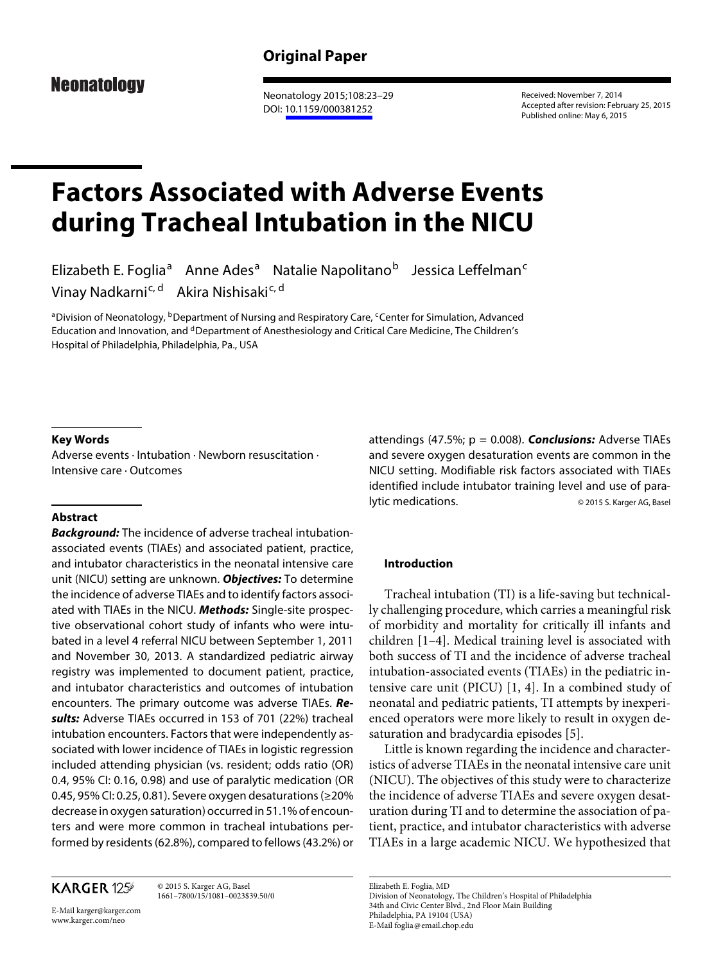**Neonatology** 

 Neonatology 2015;108:23–29 DOI: [10.1159/000381252](http://dx.doi.org/10.1159%2F000381252)

 Received: November 7, 2014 Accepted after revision: February 25, 2015 Published online: May 6, 2015

# **Factors Associated with Adverse Events during Tracheal Intubation in the NICU**

Elizabeth E. Foglia<sup>a</sup> Anne Ades<sup>a</sup> Natalie Napolitano<sup>b</sup> Jessica Leffelman<sup>c</sup> Vinay Nadkarni<sup>c, d</sup> Akira Nishisaki<sup>c, d</sup>

<sup>a</sup> Division of Neonatology, <sup>b</sup> Department of Nursing and Respiratory Care, <sup>c</sup> Center for Simulation, Advanced Education and Innovation, and <sup>d</sup> Department of Anesthesiology and Critical Care Medicine, The Children's Hospital of Philadelphia, Philadelphia, Pa., USA

## **Key Words**

 Adverse events · Intubation · Newborn resuscitation · Intensive care · Outcomes

## **Abstract**

**Background:** The incidence of adverse tracheal intubationassociated events (TIAEs) and associated patient, practice, and intubator characteristics in the neonatal intensive care unit (NICU) setting are unknown. **Objectives:** To determine the incidence of adverse TIAEs and to identify factors associated with TIAEs in the NICU. **Methods:** Single-site prospective observational cohort study of infants who were intubated in a level 4 referral NICU between September 1, 2011 and November 30, 2013. A standardized pediatric airway registry was implemented to document patient, practice, and intubator characteristics and outcomes of intubation encounters. The primary outcome was adverse TIAEs. **Results:** Adverse TIAEs occurred in 153 of 701 (22%) tracheal intubation encounters. Factors that were independently associated with lower incidence of TIAEs in logistic regression included attending physician (vs. resident; odds ratio (OR) 0.4, 95% CI: 0.16, 0.98) and use of paralytic medication (OR 0.45, 95% CI: 0.25, 0.81). Severe oxygen desaturations ( $\geq$ 20% decrease in oxygen saturation) occurred in 51.1% of encounters and were more common in tracheal intubations performed by residents (62.8%), compared to fellows (43.2%) or

## **KARGER 125**

 © 2015 S. Karger AG, Basel 1661–7800/15/1081–0023\$39.50/0

E-Mail karger@karger.com www.karger.com/neo

attendings (47.5%; p = 0.008). **Conclusions:** Adverse TIAEs and severe oxygen desaturation events are common in the NICU setting. Modifiable risk factors associated with TIAEs identified include intubator training level and use of paralytic medications. © 2015 S. Karger AG, Basel

## **Introduction**

 Tracheal intubation (TI) is a life-saving but technically challenging procedure, which carries a meaningful risk of morbidity and mortality for critically ill infants and children [1-4]. Medical training level is associated with both success of TI and the incidence of adverse tracheal intubation-associated events (TIAEs) in the pediatric intensive care unit (PICU)  $[1, 4]$ . In a combined study of neonatal and pediatric patients, TI attempts by inexperienced operators were more likely to result in oxygen desaturation and bradycardia episodes [5].

 Little is known regarding the incidence and characteristics of adverse TIAEs in the neonatal intensive care unit (NICU). The objectives of this study were to characterize the incidence of adverse TIAEs and severe oxygen desaturation during TI and to determine the association of patient, practice, and intubator characteristics with adverse TIAEs in a large academic NICU. We hypothesized that

Elizabeth E. Foglia, MD

Division of Neonatology, The Children's Hospital of Philadelphia 34th and Civic Center Blvd., 2nd Floor Main Building Philadelphia, PA 19104 (USA) E-Mail foglia @ email.chop.edu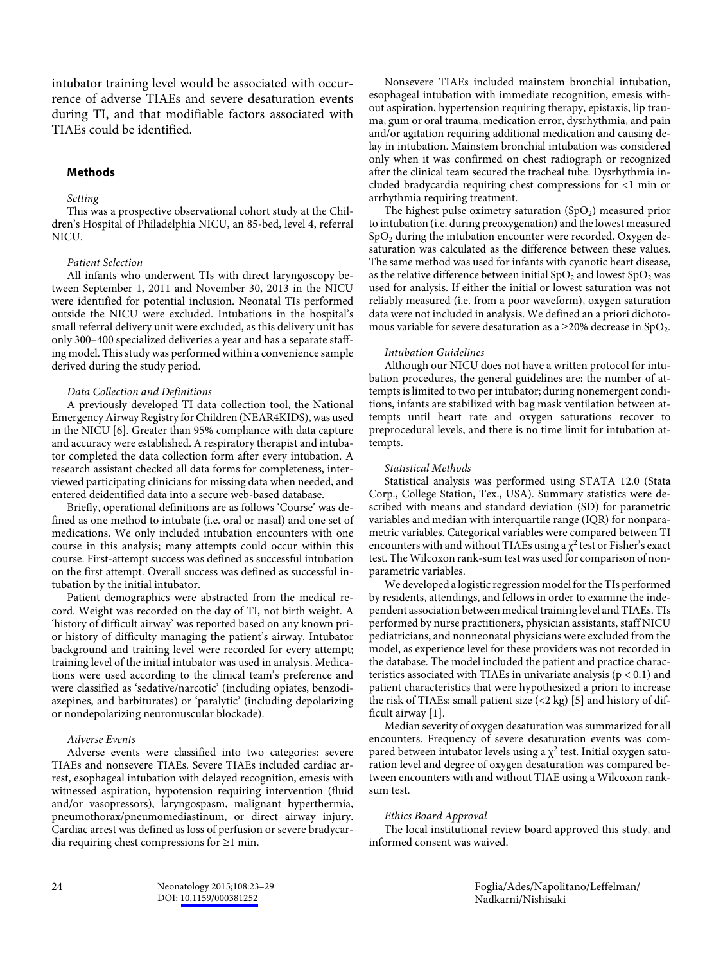intubator training level would be associated with occurrence of adverse TIAEs and severe desaturation events during TI, and that modifiable factors associated with TIAEs could be identified.

### **Methods**

#### *Setting*

 This was a prospective observational cohort study at the Children's Hospital of Philadelphia NICU, an 85-bed, level 4, referral **NICU** 

#### *Patient Selection*

 All infants who underwent TIs with direct laryngoscopy between September 1, 2011 and November 30, 2013 in the NICU were identified for potential inclusion. Neonatal TIs performed outside the NICU were excluded. Intubations in the hospital's small referral delivery unit were excluded, as this delivery unit has only 300–400 specialized deliveries a year and has a separate staffing model. This study was performed within a convenience sample derived during the study period.

#### *Data Collection and Definitions*

 A previously developed TI data collection tool, the National Emergency Airway Registry for Children (NEAR4KIDS), was used in the NICU [6]. Greater than 95% compliance with data capture and accuracy were established. A respiratory therapist and intubator completed the data collection form after every intubation. A research assistant checked all data forms for completeness, interviewed participating clinicians for missing data when needed, and entered deidentified data into a secure web-based database.

 Briefly, operational definitions are as follows 'Course' was defined as one method to intubate (i.e. oral or nasal) and one set of medications. We only included intubation encounters with one course in this analysis; many attempts could occur within this course. First-attempt success was defined as successful intubation on the first attempt. Overall success was defined as successful intubation by the initial intubator.

 Patient demographics were abstracted from the medical record. Weight was recorded on the day of TI, not birth weight. A 'history of difficult airway' was reported based on any known prior history of difficulty managing the patient's airway. Intubator background and training level were recorded for every attempt; training level of the initial intubator was used in analysis. Medications were used according to the clinical team's preference and were classified as 'sedative/narcotic' (including opiates, benzodiazepines, and barbiturates) or 'paralytic' (including depolarizing or nondepolarizing neuromuscular blockade).

#### *Adverse Events*

 Adverse events were classified into two categories: severe TIAEs and nonsevere TIAEs. Severe TIAEs included cardiac arrest, esophageal intubation with delayed recognition, emesis with witnessed aspiration, hypotension requiring intervention (fluid and/or vasopressors), laryngospasm, malignant hyperthermia, pneumothorax/pneumomediastinum, or direct airway injury. Cardiac arrest was defined as loss of perfusion or severe bradycardia requiring chest compressions for  $\geq 1$  min.

 Nonsevere TIAEs included mainstem bronchial intubation, esophageal intubation with immediate recognition, emesis without aspiration, hypertension requiring therapy, epistaxis, lip trauma, gum or oral trauma, medication error, dysrhythmia, and pain and/or agitation requiring additional medication and causing delay in intubation. Mainstem bronchial intubation was considered only when it was confirmed on chest radiograph or recognized after the clinical team secured the tracheal tube. Dysrhythmia included bradycardia requiring chest compressions for <1 min or arrhythmia requiring treatment.

The highest pulse oximetry saturation  $(SpO<sub>2</sub>)$  measured prior to intubation (i.e. during preoxygenation) and the lowest measured  $SpO<sub>2</sub>$  during the intubation encounter were recorded. Oxygen desaturation was calculated as the difference between these values. The same method was used for infants with cyanotic heart disease, as the relative difference between initial  $SpO<sub>2</sub>$  and lowest  $SpO<sub>2</sub>$  was used for analysis. If either the initial or lowest saturation was not reliably measured (i.e. from a poor waveform), oxygen saturation data were not included in analysis. We defined an a priori dichotomous variable for severe desaturation as a  $\geq$ 20% decrease in SpO<sub>2</sub>.

#### *Intubation Guidelines*

 Although our NICU does not have a written protocol for intubation procedures, the general guidelines are: the number of attempts is limited to two per intubator; during nonemergent conditions, infants are stabilized with bag mask ventilation between attempts until heart rate and oxygen saturations recover to preprocedural levels, and there is no time limit for intubation attempts.

#### *Statistical Methods*

 Statistical analysis was performed using STATA 12.0 (Stata Corp., College Station, Tex., USA). Summary statistics were described with means and standard deviation (SD) for parametric variables and median with interquartile range (IQR) for nonparametric variables. Categorical variables were compared between TI encounters with and without TIAEs using a  $\chi^2$  test or Fisher's exact test. The Wilcoxon rank-sum test was used for comparison of nonparametric variables.

 We developed a logistic regression model for the TIs performed by residents, attendings, and fellows in order to examine the independent association between medical training level and TIAEs. TIs performed by nurse practitioners, physician assistants, staff NICU pediatricians, and nonneonatal physicians were excluded from the model, as experience level for these providers was not recorded in the database. The model included the patient and practice characteristics associated with TIAEs in univariate analysis ( $p < 0.1$ ) and patient characteristics that were hypothesized a priori to increase the risk of TIAEs: small patient size  $\left($  < 2 kg) [5] and history of difficult airway [1].

 Median severity of oxygen desaturation was summarized for all encounters. Frequency of severe desaturation events was compared between intubator levels using a  $\chi^2$  test. Initial oxygen saturation level and degree of oxygen desaturation was compared between encounters with and without TIAE using a Wilcoxon ranksum test.

#### *Ethics Board Approval*

 The local institutional review board approved this study, and informed consent was waived.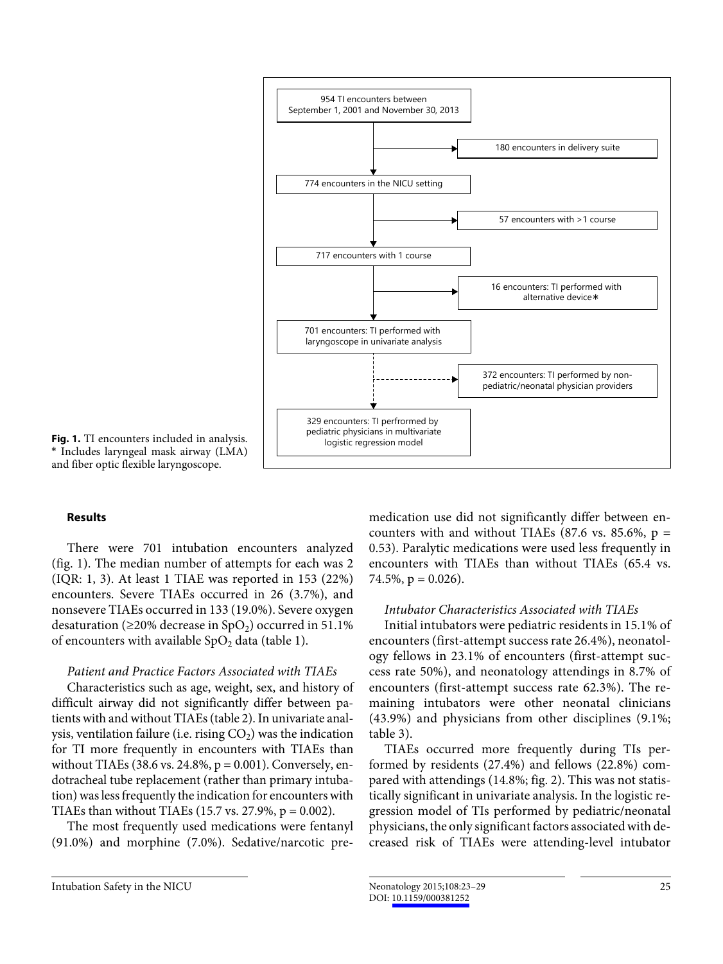

**Fig. 1.** TI encounters included in analysis. \* Includes laryngeal mask airway (LMA) and fiber optic flexible laryngoscope.

#### **Results**

 There were 701 intubation encounters analyzed (fig. 1). The median number of attempts for each was 2 (IQR: 1, 3). At least 1 TIAE was reported in 153 (22%) encounters. Severe TIAEs occurred in 26 (3.7%), and nonsevere TIAEs occurred in 133 (19.0%). Severe oxygen desaturation ( $\geq$ 20% decrease in SpO<sub>2</sub>) occurred in 51.1% of encounters with available  $SpO<sub>2</sub>$  data (table 1).

## *Patient and Practice Factors Associated with TIAEs*

 Characteristics such as age, weight, sex, and history of difficult airway did not significantly differ between patients with and without TIAEs (table 2). In univariate analysis, ventilation failure (i.e. rising  $CO<sub>2</sub>$ ) was the indication for TI more frequently in encounters with TIAEs than without TIAEs (38.6 vs. 24.8%, p = 0.001). Conversely, endotracheal tube replacement (rather than primary intubation) was less frequently the indication for encounters with TIAEs than without TIAEs (15.7 vs. 27.9%,  $p = 0.002$ ).

 The most frequently used medications were fentanyl (91.0%) and morphine (7.0%). Sedative/narcotic premedication use did not significantly differ between encounters with and without TIAEs (87.6 vs. 85.6%,  $p =$ 0.53). Paralytic medications were used less frequently in encounters with TIAEs than without TIAEs (65.4 vs.  $74.5\%, p = 0.026$ .

#### *Intubator Characteristics Associated with TIAEs*

 Initial intubators were pediatric residents in 15.1% of encounters (first-attempt success rate 26.4%), neonatology fellows in 23.1% of encounters (first-attempt success rate 50%), and neonatology attendings in 8.7% of encounters (first-attempt success rate 62.3%). The remaining intubators were other neonatal clinicians (43.9%) and physicians from other disciplines (9.1%; table 3).

 TIAEs occurred more frequently during TIs performed by residents (27.4%) and fellows (22.8%) compared with attendings (14.8%; fig. 2). This was not statistically significant in univariate analysis. In the logistic regression model of TIs performed by pediatric/neonatal physicians, the only significant factors associated with decreased risk of TIAEs were attending-level intubator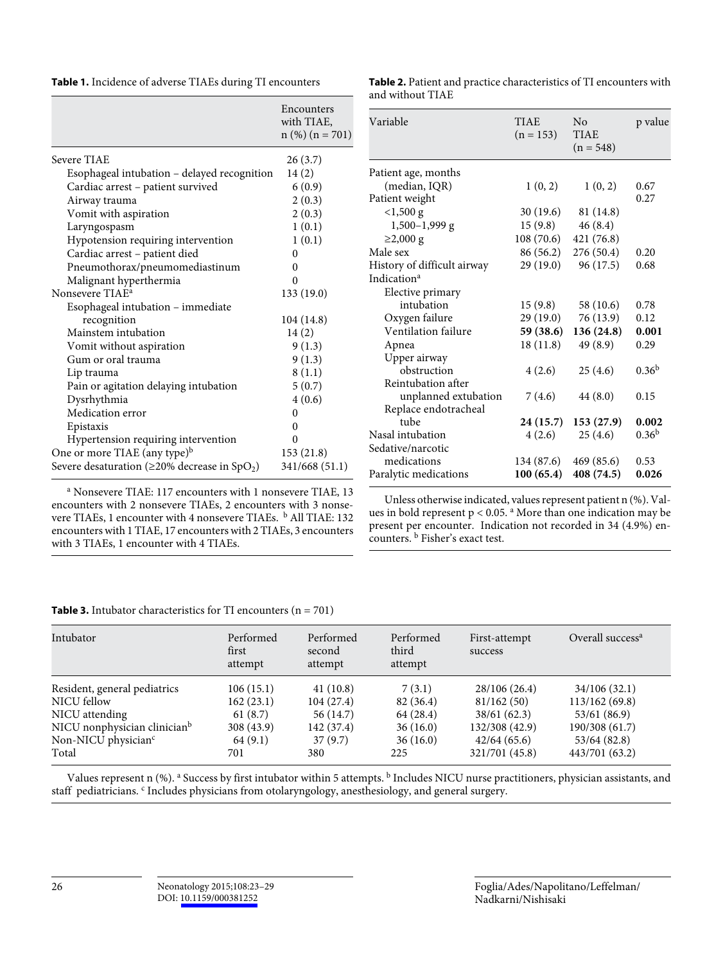**Table 1.** Incidence of adverse TIAEs during TI encounters

| <b>Table 2.</b> Patient and practice characteristics of TI encounters with |  |  |
|----------------------------------------------------------------------------|--|--|
| and without TIAE                                                           |  |  |

No TIAE p value

Variable TIAE

|                                                                 | Encounters<br>with TIAE,<br>$n$ (%) $(n = 701)$ |
|-----------------------------------------------------------------|-------------------------------------------------|
| Severe TIAE                                                     | 26(3.7)                                         |
| Esophageal intubation - delayed recognition                     | 14(2)                                           |
| Cardiac arrest – patient survived                               | 6(0.9)                                          |
| Airway trauma                                                   | 2(0.3)                                          |
| Vomit with aspiration                                           | 2(0.3)                                          |
| Laryngospasm                                                    | 1(0.1)                                          |
| Hypotension requiring intervention                              | 1(0.1)                                          |
| Cardiac arrest - patient died                                   | 0                                               |
| Pneumothorax/pneumomediastinum                                  | 0                                               |
| Malignant hyperthermia                                          | 0                                               |
| Nonsevere TJAE <sup>a</sup>                                     | 133 (19.0)                                      |
| Esophageal intubation - immediate                               |                                                 |
| recognition                                                     | 104 (14.8)                                      |
| Mainstem intubation                                             | 14(2)                                           |
| Vomit without aspiration                                        | 9(1.3)                                          |
| Gum or oral trauma                                              | 9(1.3)                                          |
| Lip trauma                                                      | 8(1.1)                                          |
| Pain or agitation delaying intubation                           | 5(0.7)                                          |
| Dysrhythmia                                                     | 4(0.6)                                          |
| Medication error                                                | 0                                               |
| Epistaxis                                                       | 0                                               |
| Hypertension requiring intervention                             | 0                                               |
| One or more TIAE (any type) <sup>b</sup>                        | 153(21.8)                                       |
| Severe desaturation ( $\geq$ 20% decrease in SpO <sub>2</sub> ) | 341/668 (51.1)                                  |

 a Nonsevere TIAE: 117 encounters with 1 nonsevere TIAE, 13 encounters with 2 nonsevere TIAEs, 2 encounters with 3 nonsevere TIAEs, 1 encounter with 4 nonsevere TIAEs. **b** All TIAE: 132 encounters with 1 TIAE, 17 encounters with 2 TIAEs, 3 encounters with 3 TIAEs, 1 encounter with 4 TIAEs.

|                             | $(n = 153)$ | <b>TIAE</b><br>$(n = 548)$ |            |
|-----------------------------|-------------|----------------------------|------------|
| Patient age, months         |             |                            |            |
| (median, IQR)               | 1(0, 2)     | 1(0, 2)                    | 0.67       |
| Patient weight              |             |                            | 0.27       |
| $<1,500$ g                  | 30(19.6)    | 81 (14.8)                  |            |
| 1,500-1,999 g               | 15(9.8)     | 46(8.4)                    |            |
| $≥2,000$ g                  | 108(70.6)   | 421 (76.8)                 |            |
| Male sex                    | 86 (56.2)   | 276 (50.4)                 | 0.20       |
| History of difficult airway | 29(19.0)    | 96 (17.5)                  | 0.68       |
| Indication <sup>a</sup>     |             |                            |            |
| Elective primary            |             |                            |            |
| intubation                  | 15(9.8)     | 58 (10.6)                  | 0.78       |
| Oxygen failure              | 29 (19.0)   | 76 (13.9)                  | 0.12       |
| Ventilation failure         | 59 (38.6)   | 136 (24.8)                 | 0.001      |
| Apnea                       | 18(11.8)    | 49 (8.9)                   | 0.29       |
| Upper airway                |             |                            |            |
| obstruction                 | 4(2.6)      | 25(4.6)                    | $0.36^{b}$ |
| Reintubation after          |             |                            |            |
| unplanned extubation        | 7(4.6)      | 44(8.0)                    | 0.15       |
| Replace endotracheal        |             |                            |            |
| tube                        | 24(15.7)    | 153(27.9)                  | 0.002      |
| Nasal intubation            | 4(2.6)      | 25(4.6)                    | $0.36^{b}$ |
| Sedative/narcotic           |             |                            |            |
| medications                 | 134 (87.6)  | 469 (85.6)                 | 0.53       |
| Paralytic medications       | 100(65.4)   | 408 (74.5)                 | 0.026      |

 Unless otherwise indicated, values represent patient n (%). Values in bold represent  $p < 0.05$ . <sup>a</sup> More than one indication may be present per encounter. Indication not recorded in 34 (4.9%) encounters. **b** Fisher's exact test.

**Table 3.** Intubator characteristics for TI encounters  $(n = 701)$ 

| Intubator                                | Performed<br>first<br>attempt | Performed<br>second<br>attempt | Performed<br>third<br>attempt | First-attempt<br>success | Overall success <sup>a</sup> |
|------------------------------------------|-------------------------------|--------------------------------|-------------------------------|--------------------------|------------------------------|
| Resident, general pediatrics             | 106(15.1)                     | 41(10.8)                       | 7(3.1)                        | 28/106(26.4)             | 34/106(32.1)                 |
| NICU fellow                              | 162(23.1)                     | 104(27.4)                      | 82 (36.4)                     | 81/162(50)               | 113/162(69.8)                |
| NICU attending                           | 61(8.7)                       | 56 (14.7)                      | 64 (28.4)                     | 38/61(62.3)              | 53/61(86.9)                  |
| NICU nonphysician clinician <sup>b</sup> | 308 (43.9)                    | 142 (37.4)                     | 36(16.0)                      | 132/308 (42.9)           | 190/308 (61.7)               |
| Non-NICU physician <sup>c</sup>          | 64(9.1)                       | 37(9.7)                        | 36(16.0)                      | 42/64(65.6)              | 53/64(82.8)                  |
| Total                                    | 701                           | 380                            | 225                           | 321/701 (45.8)           | 443/701 (63.2)               |

Values represent n (%). <sup>a</sup> Success by first intubator within 5 attempts. <sup>b</sup> Includes NICU nurse practitioners, physician assistants, and staff pediatricians. <sup>c</sup> Includes physicians from otolaryngology, anesthesiology, and general surgery.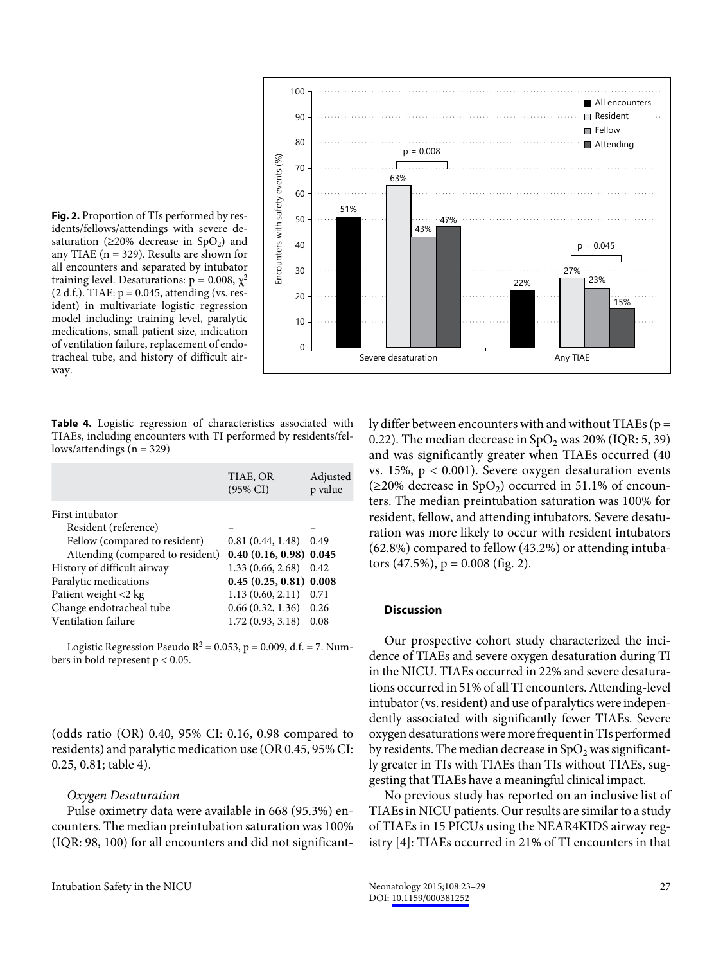

**Fig. 2.** Proportion of TIs performed by residents/fellows/attendings with severe desaturation ( $\geq$ 20% decrease in SpO<sub>2</sub>) and any TIAE ( $n = 329$ ). Results are shown for all encounters and separated by intubator training level. Desaturations:  $p = 0.008$ ,  $\chi^2$  $(2 d.f.).$  TIAE:  $p = 0.045$ , attending (vs. resident) in multivariate logistic regression model including: training level, paralytic medications, small patient size, indication of ventilation failure, replacement of endotracheal tube, and history of difficult airway.

 **Table 4.** Logistic regression of characteristics associated with TIAEs, including encounters with TI performed by residents/fellows/attendings  $(n = 329)$ 

|                                                                                                             | TIAE, OR<br>$(95\% \text{ CI})$ | Adjusted<br>p value |
|-------------------------------------------------------------------------------------------------------------|---------------------------------|---------------------|
| First intubator                                                                                             |                                 |                     |
| Resident (reference)                                                                                        |                                 |                     |
| Fellow (compared to resident)                                                                               | 0.81(0.44, 1.48)                | 0.49                |
| Attending (compared to resident)                                                                            | 0.40(0.16, 0.98)                | 0.045               |
| History of difficult airway                                                                                 | 1.33(0.66, 2.68)                | 0.42                |
| Paralytic medications                                                                                       | 0.45(0.25, 0.81)                | 0.008               |
| Patient weight <2 kg                                                                                        | 1.13(0.60, 2.11)                | 0.71                |
| Change endotracheal tube                                                                                    | 0.66(0.32, 1.36)                | 0.26                |
| Ventilation failure                                                                                         | 1.72(0.93, 3.18)                | 0.08                |
| Logistic Regression Pseudo $R^2 = 0.053$ , p = 0.009, d.f. = 7. Num-<br>bers in bold represent $p < 0.05$ . |                                 |                     |

(odds ratio (OR) 0.40, 95% CI: 0.16, 0.98 compared to residents) and paralytic medication use (OR 0.45, 95% CI: 0.25, 0.81; table 4).

## *Oxygen Desaturation*

 Pulse oximetry data were available in 668 (95.3%) encounters. The median preintubation saturation was 100% (IQR: 98, 100) for all encounters and did not significantly differ between encounters with and without TIAEs ( $p =$ 0.22). The median decrease in  $SpO<sub>2</sub>$  was 20% (IQR: 5, 39) and was significantly greater when TIAEs occurred (40 vs. 15%,  $p < 0.001$ ). Severe oxygen desaturation events  $(\geq 20\%$  decrease in SpO<sub>2</sub>) occurred in 51.1% of encounters. The median preintubation saturation was 100% for resident, fellow, and attending intubators. Severe desaturation was more likely to occur with resident intubators (62.8%) compared to fellow (43.2%) or attending intubators  $(47.5\%)$ ,  $p = 0.008$  (fig. 2).

## **Discussion**

 Our prospective cohort study characterized the incidence of TIAEs and severe oxygen desaturation during TI in the NICU. TIAEs occurred in 22% and severe desaturations occurred in 51% of all TI encounters. Attending-level intubator (vs. resident) and use of paralytics were independently associated with significantly fewer TIAEs. Severe oxygen desaturations were more frequent in TIs performed by residents. The median decrease in  $SpO<sub>2</sub>$  was significantly greater in TIs with TIAEs than TIs without TIAEs, suggesting that TIAEs have a meaningful clinical impact.

 No previous study has reported on an inclusive list of TIAEs in NICU patients. Our results are similar to a study of TIAEs in 15 PICUs using the NEAR4KIDS airway registry [4]: TIAEs occurred in 21% of TI encounters in that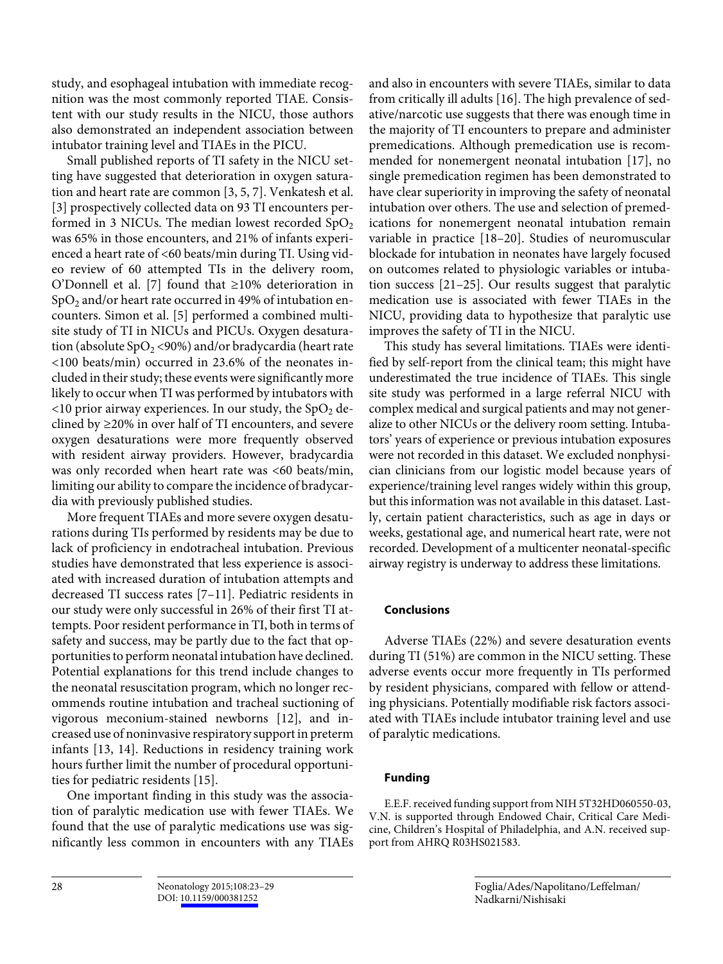study, and esophageal intubation with immediate recognition was the most commonly reported TIAE. Consistent with our study results in the NICU, those authors also demonstrated an independent association between intubator training level and TIAEs in the PICU.

 Small published reports of TI safety in the NICU setting have suggested that deterioration in oxygen saturation and heart rate are common [3, 5, 7]. Venkatesh et al. [3] prospectively collected data on 93 TI encounters performed in 3 NICUs. The median lowest recorded  $SpO<sub>2</sub>$ was 65% in those encounters, and 21% of infants experienced a heart rate of <60 beats/min during TI. Using video review of 60 attempted TIs in the delivery room, O'Donnell et al. [7] found that ≥ 10% deterioration in  $SpO<sub>2</sub>$  and/or heart rate occurred in 49% of intubation encounters. Simon et al. [5] performed a combined multisite study of TI in NICUs and PICUs. Oxygen desaturation (absolute  $SpO<sub>2</sub> < 90%$ ) and/or bradycardia (heart rate <100 beats/min) occurred in 23.6% of the neonates included in their study; these events were significantly more likely to occur when TI was performed by intubators with  $10$  prior airway experiences. In our study, the SpO<sub>2</sub> declined by  $\geq$  20% in over half of TI encounters, and severe oxygen desaturations were more frequently observed with resident airway providers. However, bradycardia was only recorded when heart rate was <60 beats/min, limiting our ability to compare the incidence of bradycardia with previously published studies.

 More frequent TIAEs and more severe oxygen desaturations during TIs performed by residents may be due to lack of proficiency in endotracheal intubation. Previous studies have demonstrated that less experience is associated with increased duration of intubation attempts and decreased TI success rates [7–11] . Pediatric residents in our study were only successful in 26% of their first TI attempts. Poor resident performance in TI, both in terms of safety and success, may be partly due to the fact that opportunities to perform neonatal intubation have declined. Potential explanations for this trend include changes to the neonatal resuscitation program, which no longer recommends routine intubation and tracheal suctioning of vigorous meconium-stained newborns [12], and increased use of noninvasive respiratory support in preterm infants [13, 14]. Reductions in residency training work hours further limit the number of procedural opportunities for pediatric residents [15] .

 One important finding in this study was the association of paralytic medication use with fewer TIAEs. We found that the use of paralytic medications use was significantly less common in encounters with any TIAEs

and also in encounters with severe TIAEs, similar to data from critically ill adults [16]. The high prevalence of sedative/narcotic use suggests that there was enough time in the majority of TI encounters to prepare and administer premedications. Although premedication use is recommended for nonemergent neonatal intubation [17], no single premedication regimen has been demonstrated to have clear superiority in improving the safety of neonatal intubation over others. The use and selection of premedications for nonemergent neonatal intubation remain variable in practice [18-20]. Studies of neuromuscular blockade for intubation in neonates have largely focused on outcomes related to physiologic variables or intubation success  $[21-25]$ . Our results suggest that paralytic medication use is associated with fewer TIAEs in the NICU, providing data to hypothesize that paralytic use improves the safety of TI in the NICU.

 This study has several limitations. TIAEs were identified by self-report from the clinical team; this might have underestimated the true incidence of TIAEs. This single site study was performed in a large referral NICU with complex medical and surgical patients and may not generalize to other NICUs or the delivery room setting. Intubators' years of experience or previous intubation exposures were not recorded in this dataset. We excluded nonphysician clinicians from our logistic model because years of experience/training level ranges widely within this group, but this information was not available in this dataset. Lastly, certain patient characteristics, such as age in days or weeks, gestational age, and numerical heart rate, were not recorded. Development of a multicenter neonatal-specific airway registry is underway to address these limitations.

## **Conclusions**

 Adverse TIAEs (22%) and severe desaturation events during TI (51%) are common in the NICU setting. These adverse events occur more frequently in TIs performed by resident physicians, compared with fellow or attending physicians. Potentially modifiable risk factors associated with TIAEs include intubator training level and use of paralytic medications.

## **Funding**

 E.E.F. received funding support from NIH 5T32HD060550-03, V.N. is supported through Endowed Chair, Critical Care Medicine, Children's Hospital of Philadelphia, and A.N. received support from AHRQ R03HS021583.